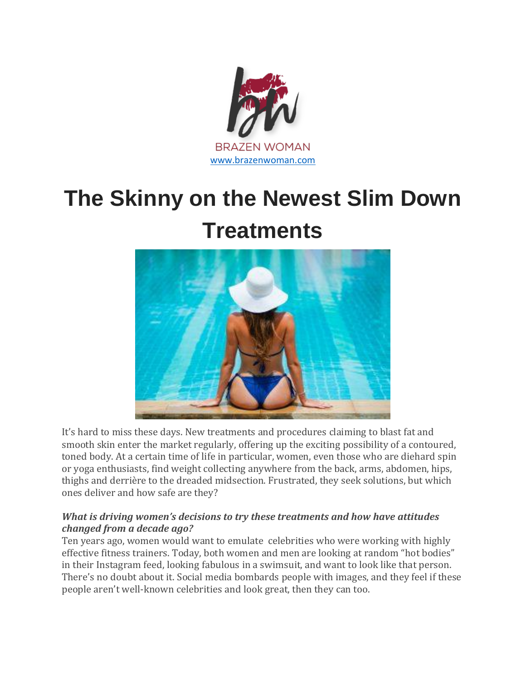

# **The Skinny on the Newest Slim Down Treatments**



It's hard to miss these days. New treatments and procedures claiming to blast fat and smooth skin enter the market regularly, offering up the exciting possibility of a contoured, toned body. At a certain time of life in particular, women, even those who are diehard spin or yoga enthusiasts, find weight collecting anywhere from the back, arms, abdomen, hips, thighs and derrière to the dreaded midsection. Frustrated, they seek solutions, but which ones deliver and how safe are they?

#### *What is driving women's decisions to try these treatments and how have attitudes changed from a decade ago?*

Ten years ago, women would want to emulate celebrities who were working with highly effective fitness trainers. Today, both women and men are looking at random "hot bodies" in their Instagram feed, looking fabulous in a swimsuit, and want to look like that person. There's no doubt about it. Social media bombards people with images, and they feel if these people aren't well-known celebrities and look great, then they can too.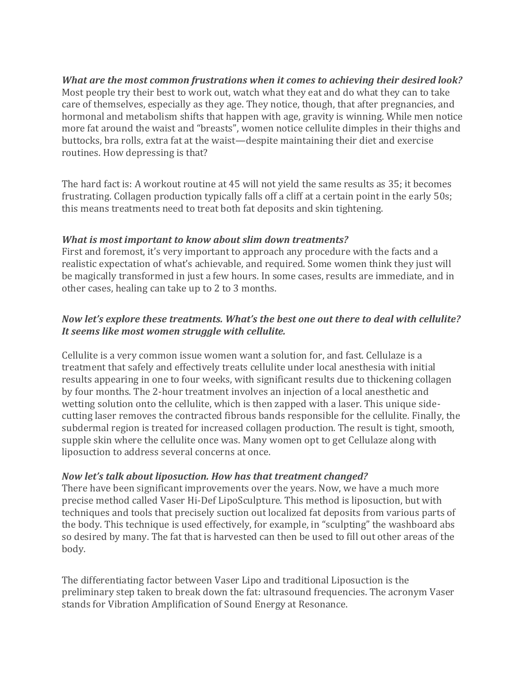#### *What are the most common frustrations when it comes to achieving their desired look?* Most people try their best to work out, watch what they eat and do what they can to take care of themselves, especially as they age. They notice, though, that after pregnancies, and hormonal and metabolism shifts that happen with age, gravity is winning. While men notice more fat around the waist and "breasts", women notice cellulite dimples in their thighs and buttocks, bra rolls, extra fat at the waist—despite maintaining their diet and exercise routines. How depressing is that?

The hard fact is: A workout routine at 45 will not yield the same results as 35; it becomes frustrating. Collagen production typically falls off a cliff at a certain point in the early 50s; this means treatments need to treat both fat deposits and skin tightening.

# *What is most important to know about slim down treatments?*

First and foremost, it's very important to approach any procedure with the facts and a realistic expectation of what's achievable, and required. Some women think they just will be magically transformed in just a few hours. In some cases, results are immediate, and in other cases, healing can take up to 2 to 3 months.

# *Now let's explore these treatments. What's the best one out there to deal with cellulite? It seems like most women struggle with cellulite.*

Cellulite is a very common issue women want a solution for, and fast. Cellulaze is a treatment that safely and effectively treats cellulite under local anesthesia with initial results appearing in one to four weeks, with significant results due to thickening collagen by four months. The 2-hour treatment involves an injection of a local anesthetic and wetting solution onto the cellulite, which is then zapped with a laser. This unique sidecutting laser removes the contracted fibrous bands responsible for the cellulite. Finally, the subdermal region is treated for increased collagen production. The result is tight, smooth, supple skin where the cellulite once was. Many women opt to get Cellulaze along with liposuction to address several concerns at once.

# *Now let's talk about liposuction. How has that treatment changed?*

There have been significant improvements over the years. Now, we have a much more precise method called Vaser Hi-Def LipoSculpture. This method is liposuction, but with techniques and tools that precisely suction out localized fat deposits from various parts of the body. This technique is used effectively, for example, in "sculpting" the washboard abs so desired by many. The fat that is harvested can then be used to fill out other areas of the body.

The differentiating factor between Vaser Lipo and traditional Liposuction is the preliminary step taken to break down the fat: ultrasound frequencies. The acronym Vaser stands for Vibration Amplification of Sound Energy at Resonance.